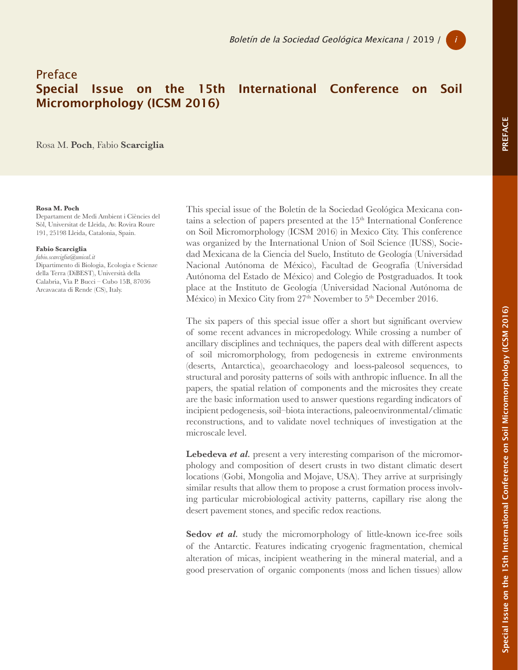## Preface Micromorphology (ICSM 2016)

Special Issue on the 15th International Conference on Soil

PREFACE PREFACE

Rosa M. **Poch**, Fabio **Scarciglia**

## **Rosa M. Poch**

Departament de Medi Ambient i Ciències del Sòl, Universitat de Lleida, Av. Rovira Roure 191, 25198 Lleida, Catalonia, Spain.

## **Fabio Scarciglia**

*fabio.scarciglia@unical.it* Dipartimento di Biologia, Ecologia e Scienze della Terra (DiBEST), Università della Calabria, Via P. Bucci – Cubo 15B, 87036 Arcavacata di Rende (CS), Italy.

This special issue of the Boletín de la Sociedad Geológica Mexicana contains a selection of papers presented at the  $15<sup>th</sup>$  International Conference on Soil Micromorphology (ICSM 2016) in Mexico City. This conference was organized by the International Union of Soil Science (IUSS), Sociedad Mexicana de la Ciencia del Suelo, Instituto de Geología (Universidad Nacional Autónoma de México), Facultad de Geografía (Universidad Autónoma del Estado de México) and Colegio de Postgraduados. It took place at the Instituto de Geología (Universidad Nacional Autónoma de México) in Mexico City from 27<sup>th</sup> November to 5<sup>th</sup> December 2016.

The six papers of this special issue offer a short but significant overview of some recent advances in micropedology. While crossing a number of ancillary disciplines and techniques, the papers deal with different aspects of soil micromorphology, from pedogenesis in extreme environments (deserts, Antarctica), geoarchaeology and loess-paleosol sequences, to structural and porosity patterns of soils with anthropic influence. In all the papers, the spatial relation of components and the microsites they create are the basic information used to answer questions regarding indicators of incipient pedogenesis, soil–biota interactions, paleoenvironmental/climatic reconstructions, and to validate novel techniques of investigation at the microscale level.

**Lebedeva** *et al.* present a very interesting comparison of the micromorphology and composition of desert crusts in two distant climatic desert locations (Gobi, Mongolia and Mojave, USA). They arrive at surprisingly similar results that allow them to propose a crust formation process involving particular microbiological activity patterns, capillary rise along the desert pavement stones, and specific redox reactions.

Sedov *et al.* study the micromorphology of little-known ice-free soils of the Antarctic. Features indicating cryogenic fragmentation, chemical alteration of micas, incipient weathering in the mineral material, and a good preservation of organic components (moss and lichen tissues) allow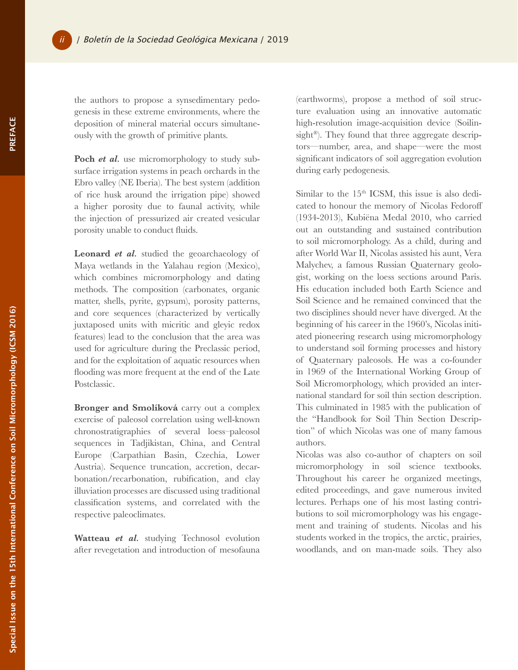the authors to propose a synsedimentary pedogenesis in these extreme environments, where the deposition of mineral material occurs simultaneously with the growth of primitive plants.

Poch *et al.* use micromorphology to study subsurface irrigation systems in peach orchards in the Ebro valley (NE Iberia). The best system (addition of rice husk around the irrigation pipe) showed a higher porosity due to faunal activity, while the injection of pressurized air created vesicular porosity unable to conduct fluids.

**Leonard** *et al.* studied the geoarchaeology of Maya wetlands in the Yalahau region (Mexico), which combines micromorphology and dating methods. The composition (carbonates, organic matter, shells, pyrite, gypsum), porosity patterns, and core sequences (characterized by vertically juxtaposed units with micritic and gleyic redox features) lead to the conclusion that the area was used for agriculture during the Preclassic period, and for the exploitation of aquatic resources when flooding was more frequent at the end of the Late Postclassic.

**Bronger and Smolíková** carry out a complex exercise of paleosol correlation using well-known chronostratigraphies of several loess–paleosol sequences in Tadjikistan, China, and Central Europe (Carpathian Basin, Czechia, Lower Austria). Sequence truncation, accretion, decarbonation/recarbonation, rubification, and clay illuviation processes are discussed using traditional classification systems, and correlated with the respective paleoclimates.

**Watteau** *et al.* studying Technosol evolution after revegetation and introduction of mesofauna (earthworms), propose a method of soil structure evaluation using an innovative automatic high-resolution image-acquisition device (Soilinsight<sup>®</sup>). They found that three aggregate descriptors—number, area, and shape—were the most significant indicators of soil aggregation evolution during early pedogenesis.

Similar to the  $15<sup>th</sup>$  ICSM, this issue is also dedicated to honour the memory of Nicolas Fedoroff (1934-2013), Kubiëna Medal 2010, who carried out an outstanding and sustained contribution to soil micromorphology. As a child, during and after World War II, Nicolas assisted his aunt, Vera Malychev, a famous Russian Quaternary geologist, working on the loess sections around Paris. His education included both Earth Science and Soil Science and he remained convinced that the two disciplines should never have diverged. At the beginning of his career in the 1960's, Nicolas initiated pioneering research using micromorphology to understand soil forming processes and history of Quaternary paleosols. He was a co-founder in 1969 of the International Working Group of Soil Micromorphology, which provided an international standard for soil thin section description. This culminated in 1985 with the publication of the "Handbook for Soil Thin Section Description" of which Nicolas was one of many famous authors.

Nicolas was also co-author of chapters on soil micromorphology in soil science textbooks. Throughout his career he organized meetings, edited proceedings, and gave numerous invited lectures. Perhaps one of his most lasting contributions to soil micromorphology was his engagement and training of students. Nicolas and his students worked in the tropics, the arctic, prairies, woodlands, and on man-made soils. They also